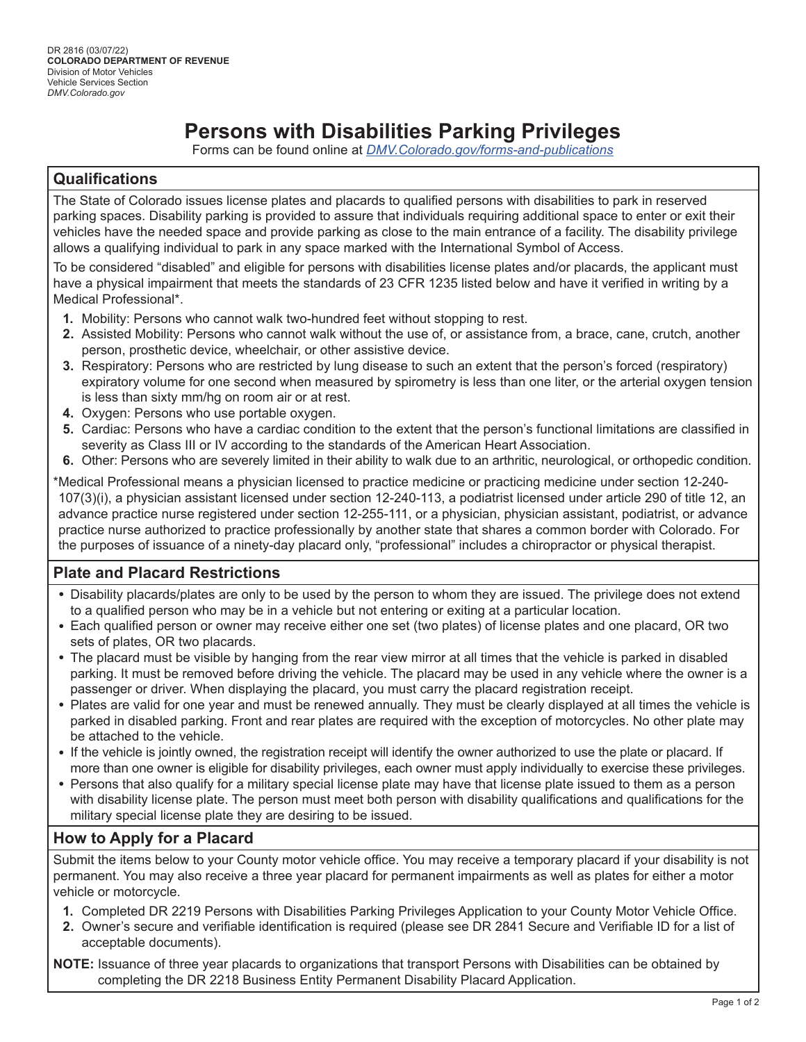# **Persons with Disabilities Parking Privileges**

Forms can be found online at *[DMV.Colorado.gov/forms-and-publications](http://DMV.Colorado.gov/forms-and-publications)*

## **Qualifications**

The State of Colorado issues license plates and placards to qualified persons with disabilities to park in reserved parking spaces. Disability parking is provided to assure that individuals requiring additional space to enter or exit their vehicles have the needed space and provide parking as close to the main entrance of a facility. The disability privilege allows a qualifying individual to park in any space marked with the International Symbol of Access.

To be considered "disabled" and eligible for persons with disabilities license plates and/or placards, the applicant must have a physical impairment that meets the standards of 23 CFR 1235 listed below and have it verified in writing by a Medical Professional\*.

- **1.** Mobility: Persons who cannot walk two-hundred feet without stopping to rest.
- **2.** Assisted Mobility: Persons who cannot walk without the use of, or assistance from, a brace, cane, crutch, another person, prosthetic device, wheelchair, or other assistive device.
- **3.** Respiratory: Persons who are restricted by lung disease to such an extent that the person's forced (respiratory) expiratory volume for one second when measured by spirometry is less than one liter, or the arterial oxygen tension is less than sixty mm/hg on room air or at rest.
- **4.** Oxygen: Persons who use portable oxygen.
- **5.** Cardiac: Persons who have a cardiac condition to the extent that the person's functional limitations are classified in severity as Class III or IV according to the standards of the American Heart Association.
- **6.** Other: Persons who are severely limited in their ability to walk due to an arthritic, neurological, or orthopedic condition.

\*Medical Professional means a physician licensed to practice medicine or practicing medicine under section 12-240- 107(3)(i), a physician assistant licensed under section 12-240-113, a podiatrist licensed under article 290 of title 12, an advance practice nurse registered under section 12-255-111, or a physician, physician assistant, podiatrist, or advance practice nurse authorized to practice professionally by another state that shares a common border with Colorado. For the purposes of issuance of a ninety-day placard only, "professional" includes a chiropractor or physical therapist.

## **Plate and Placard Restrictions**

- Disability placards/plates are only to be used by the person to whom they are issued. The privilege does not extend to a qualified person who may be in a vehicle but not entering or exiting at a particular location.
- Each qualified person or owner may receive either one set (two plates) of license plates and one placard, OR two sets of plates, OR two placards.
- The placard must be visible by hanging from the rear view mirror at all times that the vehicle is parked in disabled parking. It must be removed before driving the vehicle. The placard may be used in any vehicle where the owner is a passenger or driver. When displaying the placard, you must carry the placard registration receipt.
- Plates are valid for one year and must be renewed annually. They must be clearly displayed at all times the vehicle is parked in disabled parking. Front and rear plates are required with the exception of motorcycles. No other plate may be attached to the vehicle.
- If the vehicle is jointly owned, the registration receipt will identify the owner authorized to use the plate or placard. If more than one owner is eligible for disability privileges, each owner must apply individually to exercise these privileges.
- Persons that also qualify for a military special license plate may have that license plate issued to them as a person with disability license plate. The person must meet both person with disability qualifications and qualifications for the military special license plate they are desiring to be issued.

## **How to Apply for a Placard**

Submit the items below to your County motor vehicle office. You may receive a temporary placard if your disability is not permanent. You may also receive a three year placard for permanent impairments as well as plates for either a motor vehicle or motorcycle.

- **1.** Completed DR 2219 Persons with Disabilities Parking Privileges Application to your County Motor Vehicle Office.
- **2.** Owner's secure and verifiable identification is required (please see DR 2841 Secure and Verifiable ID for a list of acceptable documents).

**NOTE:** Issuance of three year placards to organizations that transport Persons with Disabilities can be obtained by completing the DR 2218 Business Entity Permanent Disability Placard Application.